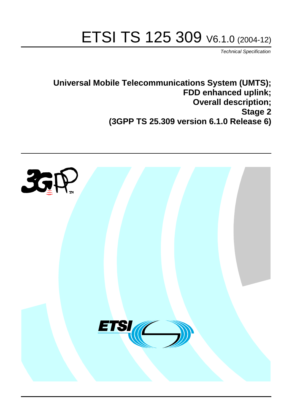# ETSI TS 125 309 V6.1.0 (2004-12)

Technical Specification

**Universal Mobile Telecommunications System (UMTS); FDD enhanced uplink; Overall description; Stage 2 (3GPP TS 25.309 version 6.1.0 Release 6)**

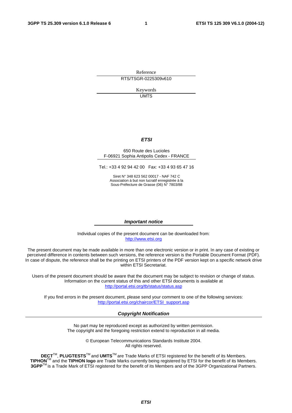Reference RTS/TSGR-0225309v610

> Keywords UMTS

#### **ETSI**

#### 650 Route des Lucioles F-06921 Sophia Antipolis Cedex - FRANCE

Tel.: +33 4 92 94 42 00 Fax: +33 4 93 65 47 16

Siret N° 348 623 562 00017 - NAF 742 C Association à but non lucratif enregistrée à la Sous-Préfecture de Grasse (06) N° 7803/88

#### **Important notice**

Individual copies of the present document can be downloaded from: [http://www.etsi.org](http://www.etsi.org/)

The present document may be made available in more than one electronic version or in print. In any case of existing or perceived difference in contents between such versions, the reference version is the Portable Document Format (PDF). In case of dispute, the reference shall be the printing on ETSI printers of the PDF version kept on a specific network drive within ETSI Secretariat.

Users of the present document should be aware that the document may be subject to revision or change of status. Information on the current status of this and other ETSI documents is available at <http://portal.etsi.org/tb/status/status.asp>

If you find errors in the present document, please send your comment to one of the following services: [http://portal.etsi.org/chaircor/ETSI\\_support.asp](http://portal.etsi.org/chaircor/ETSI_support.asp)

#### **Copyright Notification**

No part may be reproduced except as authorized by written permission. The copyright and the foregoing restriction extend to reproduction in all media.

> © European Telecommunications Standards Institute 2004. All rights reserved.

**DECT**TM, **PLUGTESTS**TM and **UMTS**TM are Trade Marks of ETSI registered for the benefit of its Members. **TIPHON**TM and the **TIPHON logo** are Trade Marks currently being registered by ETSI for the benefit of its Members. **3GPP**TM is a Trade Mark of ETSI registered for the benefit of its Members and of the 3GPP Organizational Partners.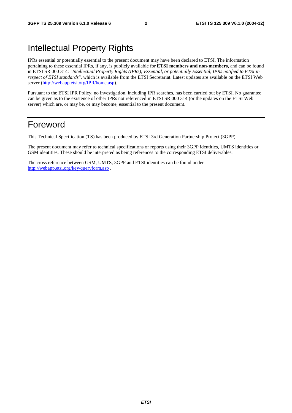# Intellectual Property Rights

IPRs essential or potentially essential to the present document may have been declared to ETSI. The information pertaining to these essential IPRs, if any, is publicly available for **ETSI members and non-members**, and can be found in ETSI SR 000 314: *"Intellectual Property Rights (IPRs); Essential, or potentially Essential, IPRs notified to ETSI in respect of ETSI standards"*, which is available from the ETSI Secretariat. Latest updates are available on the ETSI Web server (<http://webapp.etsi.org/IPR/home.asp>).

Pursuant to the ETSI IPR Policy, no investigation, including IPR searches, has been carried out by ETSI. No guarantee can be given as to the existence of other IPRs not referenced in ETSI SR 000 314 (or the updates on the ETSI Web server) which are, or may be, or may become, essential to the present document.

# Foreword

This Technical Specification (TS) has been produced by ETSI 3rd Generation Partnership Project (3GPP).

The present document may refer to technical specifications or reports using their 3GPP identities, UMTS identities or GSM identities. These should be interpreted as being references to the corresponding ETSI deliverables.

The cross reference between GSM, UMTS, 3GPP and ETSI identities can be found under <http://webapp.etsi.org/key/queryform.asp>.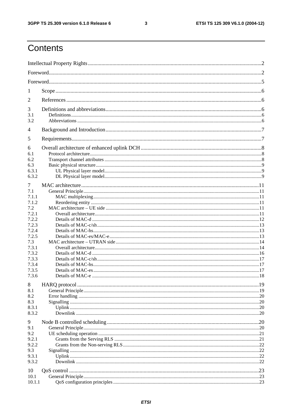$\mathbf{3}$ 

# Contents

| 1              |  |  |  |  |  |
|----------------|--|--|--|--|--|
| 2              |  |  |  |  |  |
| 3              |  |  |  |  |  |
| 3.1<br>3.2     |  |  |  |  |  |
| $\overline{4}$ |  |  |  |  |  |
| 5              |  |  |  |  |  |
| 6              |  |  |  |  |  |
| 6.1            |  |  |  |  |  |
| 6.2            |  |  |  |  |  |
| 6.3            |  |  |  |  |  |
| 6.3.1          |  |  |  |  |  |
| 6.3.2          |  |  |  |  |  |
|                |  |  |  |  |  |
| 7<br>7.1       |  |  |  |  |  |
| 7.1.1          |  |  |  |  |  |
| 7.1.2          |  |  |  |  |  |
| 7.2            |  |  |  |  |  |
| 7.2.1          |  |  |  |  |  |
| 7.2.2          |  |  |  |  |  |
| 7.2.3          |  |  |  |  |  |
| 7.2.4          |  |  |  |  |  |
| 7.2.5          |  |  |  |  |  |
| 7.3            |  |  |  |  |  |
| 7.3.1          |  |  |  |  |  |
| 7.3.2          |  |  |  |  |  |
| 7.3.3          |  |  |  |  |  |
| 7.3.4          |  |  |  |  |  |
| 7.3.5          |  |  |  |  |  |
| 7.3.6          |  |  |  |  |  |
|                |  |  |  |  |  |
| 8              |  |  |  |  |  |
| 8.1            |  |  |  |  |  |
| 8.2            |  |  |  |  |  |
| 8.3            |  |  |  |  |  |
| 8.3.1          |  |  |  |  |  |
| 8.3.2          |  |  |  |  |  |
| 9              |  |  |  |  |  |
| 9.1            |  |  |  |  |  |
| 9.2            |  |  |  |  |  |
| 9.2.1          |  |  |  |  |  |
| 9.2.2          |  |  |  |  |  |
| 9.3            |  |  |  |  |  |
| 9.3.1          |  |  |  |  |  |
| 9.3.2          |  |  |  |  |  |
|                |  |  |  |  |  |
| 10             |  |  |  |  |  |
| 10.1           |  |  |  |  |  |
| 10.1.1         |  |  |  |  |  |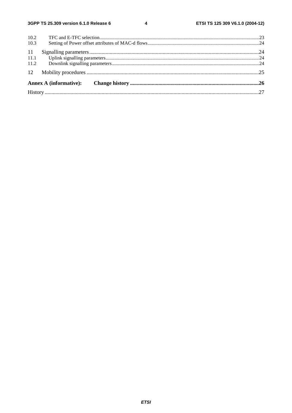$\overline{\mathbf{4}}$ 

| 10.2 |  |  |  |  |  |
|------|--|--|--|--|--|
| 10.3 |  |  |  |  |  |
| 11   |  |  |  |  |  |
| 11.1 |  |  |  |  |  |
| 11.2 |  |  |  |  |  |
|      |  |  |  |  |  |
|      |  |  |  |  |  |
|      |  |  |  |  |  |
|      |  |  |  |  |  |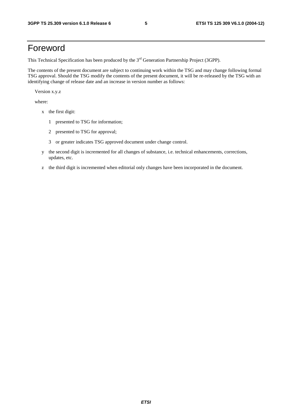# Foreword

This Technical Specification has been produced by the 3<sup>rd</sup> Generation Partnership Project (3GPP).

The contents of the present document are subject to continuing work within the TSG and may change following formal TSG approval. Should the TSG modify the contents of the present document, it will be re-released by the TSG with an identifying change of release date and an increase in version number as follows:

Version x.y.z

where:

- x the first digit:
	- 1 presented to TSG for information;
	- 2 presented to TSG for approval;
	- 3 or greater indicates TSG approved document under change control.
- y the second digit is incremented for all changes of substance, i.e. technical enhancements, corrections, updates, etc.
- z the third digit is incremented when editorial only changes have been incorporated in the document.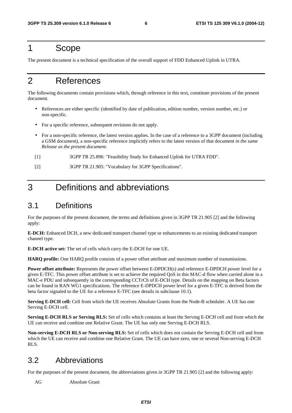# 1 Scope

The present document is a technical specification of the overall support of FDD Enhanced Uplink in UTRA.

# 2 References

The following documents contain provisions which, through reference in this text, constitute provisions of the present document.

- References are either specific (identified by date of publication, edition number, version number, etc.) or non-specific.
- For a specific reference, subsequent revisions do not apply.
- For a non-specific reference, the latest version applies. In the case of a reference to a 3GPP document (including a GSM document), a non-specific reference implicitly refers to the latest version of that document *in the same Release as the present document*.
- [1] 3GPP TR 25.896: "Feasibility Study for Enhanced Uplink for UTRA FDD".
- [2] 3GPP TR 21.905: "Vocabulary for 3GPP Specifications".

# 3 Definitions and abbreviations

# 3.1 Definitions

For the purposes of the present document, the terms and definitions given in 3GPP TR 21.905 [2] and the following apply:

**E-DCH:** Enhanced DCH, a new dedicated transport channel type or enhancements to an existing dedicated transport channel type.

**E-DCH active set:** The set of cells which carry the E-DCH for one UE.

**HARQ profile:** One HARQ profile consists of a power offset attribute and maximum number of transmissions.

**Power offset attribute:** Represents the power offset between E-DPDCH(s) and reference E-DPDCH power level for a given E-TFC. This power offset attribute is set to achieve the required QoS in this MAC-d flow when carried alone in a MAC-e PDU and subsequently in the corresponding CCTrCh of E-DCH type. Details on the mapping on Beta factors can be found in RAN WG1 specifications. The reference E-DPDCH power level for a given E-TFC is derived from the beta factor signaled to the UE for a reference E-TFC (see details in subclause 10.1).

**Serving E-DCH cell:** Cell from which the UE receives Absolute Grants from the Node-B scheduler. A UE has one Serving E-DCH cell.

**Serving E-DCH RLS or Serving RLS:** Set of cells which contains at least the Serving E-DCH cell and from which the UE can receive and combine one Relative Grant. The UE has only one Serving E-DCH RLS.

**Non-serving E-DCH RLS or Non-serving RLS:** Set of cells which does not contain the Serving E-DCH cell and from which the UE can receive and combine one Relative Grant. The UE can have zero, one or several Non-serving E-DCH RLS.

# 3.2 Abbreviations

For the purposes of the present document, the abbreviations given in 3GPP TR 21.905 [2] and the following apply:

AG Absolute Grant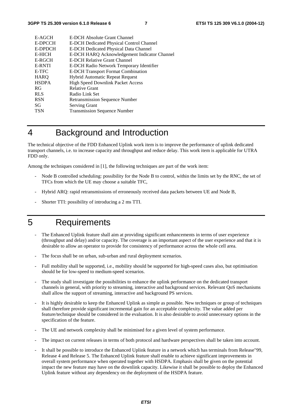| E-AGCH        | E-DCH Absolute Grant Channel                    |
|---------------|-------------------------------------------------|
| E-DPCCH       | <b>E-DCH Dedicated Physical Control Channel</b> |
| E-DPDCH       | <b>E-DCH Dedicated Physical Data Channel</b>    |
| <b>E-HICH</b> | E-DCH HARQ Acknowledgement Indicator Channel    |
| E-RGCH        | E-DCH Relative Grant Channel                    |
| E-RNTI        | E-DCH Radio Network Temporary Identifier        |
| E-TFC         | <b>E-DCH</b> Transport Format Combination       |
| <b>HARQ</b>   | <b>Hybrid Automatic Repeat Request</b>          |
| <b>HSDPA</b>  | <b>High Speed Downlink Packet Access</b>        |
| RG            | <b>Relative Grant</b>                           |
| <b>RLS</b>    | Radio Link Set                                  |
| <b>RSN</b>    | <b>Retransmission Sequence Number</b>           |
| SG            | <b>Serving Grant</b>                            |
| TSN           | <b>Transmission Sequence Number</b>             |
|               |                                                 |

# 4 Background and Introduction

The technical objective of the FDD Enhanced Uplink work item is to improve the performance of uplink dedicated transport channels, i.e. to increase capacity and throughput and reduce delay. This work item is applicable for UTRA FDD only.

Among the techniques considered in [1], the following techniques are part of the work item:

- Node B controlled scheduling: possibility for the Node B to control, within the limits set by the RNC, the set of TFCs from which the UE may choose a suitable TFC,
- Hybrid ARQ: rapid retransmissions of erroneously received data packets between UE and Node B,
- Shorter TTI: possibility of introducing a 2 ms TTI.

# 5 Requirements

- The Enhanced Uplink feature shall aim at providing significant enhancements in terms of user experience (throughput and delay) and/or capacity. The coverage is an important aspect of the user experience and that it is desirable to allow an operator to provide for consistency of performance across the whole cell area.
- The focus shall be on urban, sub-urban and rural deployment scenarios.
- Full mobility shall be supported, i.e., mobility should be supported for high-speed cases also, but optimisation should be for low-speed to medium-speed scenarios.
- The study shall investigate the possibilities to enhance the uplink performance on the dedicated transport channels in general, with priority to streaming, interactive and background services. Relevant QoS mechanisms shall allow the support of streaming, interactive and background PS services.
- It is highly desirable to keep the Enhanced Uplink as simple as possible. New techniques or group of techniques shall therefore provide significant incremental gain for an acceptable complexity. The value added per feature/technique should be considered in the evaluation. It is also desirable to avoid unnecessary options in the specification of the feature.
- The UE and network complexity shall be minimised for a given level of system performance.
- The impact on current releases in terms of both protocol and hardware perspectives shall be taken into account.
- It shall be possible to introduce the Enhanced Uplink feature in a network which has terminals from Release"99, Release 4 and Release 5. The Enhanced Uplink feature shall enable to achieve significant improvements in overall system performance when operated together with HSDPA. Emphasis shall be given on the potential impact the new feature may have on the downlink capacity. Likewise it shall be possible to deploy the Enhanced Uplink feature without any dependency on the deployment of the HSDPA feature.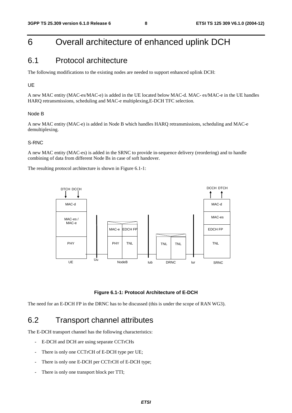# 6 Overall architecture of enhanced uplink DCH

### 6.1 Protocol architecture

The following modifications to the existing nodes are needed to support enhanced uplink DCH:

#### UE

A new MAC entity (MAC-es/MAC-e) is added in the UE located below MAC-d. MAC- es/MAC-e in the UE handles HARQ retransmissions, scheduling and MAC-e multiplexing,E-DCH TFC selection.

#### Node B

A new MAC entity (MAC-e) is added in Node B which handles HARQ retransmissions, scheduling and MAC-e demultiplexing.

#### S-RNC

A new MAC entity (MAC-es) is added in the SRNC to provide in-sequence delivery (reordering) and to handle combining of data from different Node Bs in case of soft handover.

The resulting protocol architecture is shown in Figure 6.1-1:





The need for an E-DCH FP in the DRNC has to be discussed (this is under the scope of RAN WG3).

### 6.2 Transport channel attributes

The E-DCH transport channel has the following characteristics:

- E-DCH and DCH are using separate CCTrCHs
- There is only one CCTrCH of E-DCH type per UE;
- There is only one E-DCH per CCTrCH of E-DCH type;
- There is only one transport block per TTI;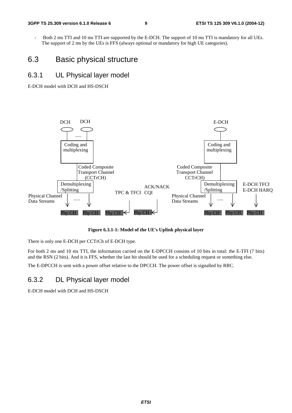Both 2 ms TTI and 10 ms TTI are supported by the E-DCH. The support of 10 ms TTI is mandatory for all UEs. The support of 2 ms by the UEs is FFS (always optional or mandatory for high UE categories).

# 6.3 Basic physical structure

### 6.3.1 UL Physical layer model

E-DCH model with DCH and HS-DSCH



**Figure 6.3.1-1: Model of the UE's Uplink physical layer** 

There is only one E-DCH per CCTrCh of E-DCH type.

For both 2 ms and 10 ms TTI, the information carried on the E-DPCCH consists of 10 bits in total: the E-TFI (7 bits) and the RSN (2 bits). And it is FFS, whether the last bit should be used for a scheduling request or something else.

The E-DPCCH is sent with a power offset relative to the DPCCH. The power offset is signalled by RRC.

### 6.3.2 DL Physical layer model

E-DCH model with DCH and HS-DSCH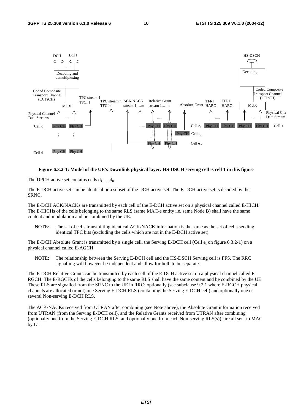

#### **Figure 6.3.2-1: Model of the UE's Downlink physical layer. HS-DSCH serving cell is cell 1 in this figure**

The DPCH active set contains cells  $d_1, \ldots, d_n$ .

The E-DCH active set can be identical or a subset of the DCH active set. The E-DCH active set is decided by the SRNC.

The E-DCH ACK/NACKs are transmitted by each cell of the E-DCH active set on a physical channel called E-HICH. The E-HICHs of the cells belonging to the same RLS (same MAC-e entity i.e. same Node B) shall have the same content and modulation and be combined by the UE.

NOTE: The set of cells transmitting identical ACK/NACK information is the same as the set of cells sending identical TPC bits (excluding the cells which are not in the E-DCH active set).

The E-DCH Absolute Grant is transmitted by a single cell, the Serving E-DCH cell (Cell e<sub>s</sub> on figure 6.3.2-1) on a physical channel called E-AGCH.

NOTE: The relationship between the Serving E-DCH cell and the HS-DSCH Serving cell is FFS. The RRC signalling will however be independent and allow for both to be separate.

The E-DCH Relative Grants can be transmitted by each cell of the E-DCH active set on a physical channel called E-RGCH. The E-RGCHs of the cells belonging to the same RLS shall have the same content and be combined by the UE. These RLS are signalled from the SRNC to the UE in RRC: optionally (see subclause 9.2.1 where E-RGCH physical channels are allocated or not) one Serving E-DCH RLS (containing the Serving E-DCH cell) and optionally one or several Non-serving E-DCH RLS.

The ACK/NACKs received from UTRAN after combining (see Note above), the Absolute Grant information received from UTRAN (from the Serving E-DCH cell), and the Relative Grants received from UTRAN after combining (optionally one from the Serving E-DCH RLS, and optionally one from each Non-serving RLS(s)), are all sent to MAC by L1.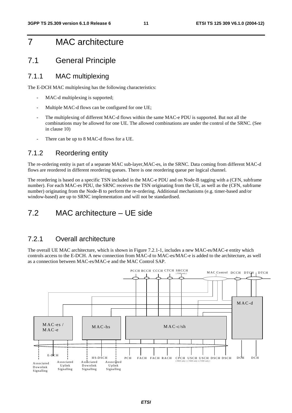# 7 MAC architecture

# 7.1 General Principle

#### 7.1.1 MAC multiplexing

The E-DCH MAC multiplexing has the following characteristics:

- MAC-d multiplexing is supported;
- Multiple MAC-d flows can be configured for one UE;
- The multiplexing of different MAC-d flows within the same MAC-e PDU is supported. But not all the combinations may be allowed for one UE. The allowed combinations are under the control of the SRNC. (See in clause 10)
- There can be up to 8 MAC-d flows for a UE.

#### 7.1.2 Reordering entity

The re-ordering entity is part of a separate MAC sub-layer,MAC-es, in the SRNC. Data coming from different MAC-d flows are reordered in different reordering queues. There is one reordering queue per logical channel.

The reordering is based on a specific TSN included in the MAC-e PDU and on Node-B tagging with a (CFN, subframe number). For each MAC-es PDU, the SRNC receives the TSN originating from the UE, as well as the (CFN, subframe number) originating from the Node-B to perform the re-ordering. Additional mechanisms (e.g. timer-based and/or window-based) are up to SRNC implementation and will not be standardised.

# 7.2 MAC architecture – UE side

### 7.2.1 Overall architecture

The overall UE MAC architecture, which is shown in Figure 7.2.1-1, includes a new MAC-es/MAC-e entity which controls access to the E-DCH. A new connection from MAC-d to MAC-es/MAC-e is added to the architecture, as well as a connection between MAC-es/MAC-e and the MAC Control SAP.

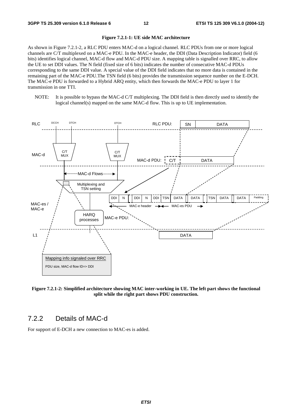#### **Figure 7.2.1-1: UE side MAC architecture**

As shown in Figure 7.2.1-2, a RLC PDU enters MAC-d on a logical channel. RLC PDUs from one or more logical channels are C/T multiplexed on a MAC-e PDU. In the MAC-e header, the DDI (Data Description Indicator) field (6 bits) identifies logical channel, MAC-d flow and MAC-d PDU size. A mapping table is signalled over RRC, to allow the UE to set DDI values. The N field (fixed size of 6 bits) indicates the number of consecutive MAC-d PDUs corresponding to the same DDI value. A special value of the DDI field indicates that no more data is contained in the remaining part of the MAC-e PDU.The TSN field (6 bits) provides the transmission sequence number on the E-DCH. The MAC-e PDU is forwarded to a Hybrid ARQ entity, which then forwards the MAC-e PDU to layer 1 for transmission in one TTI.

NOTE: It is possible to bypass the MAC-d C/T multiplexing. The DDI field is then directly used to identify the logical channel(s) mapped on the same MAC-d flow. This is up to UE implementation.



**Figure 7.2.1-2: Simplified architecture showing MAC inter-working in UE. The left part shows the functional split while the right part shows PDU construction.** 

#### 7.2.2 Details of MAC-d

For support of E-DCH a new connection to MAC-es is added.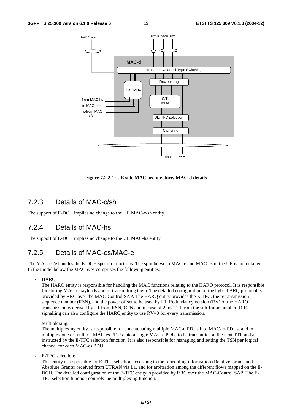

#### **Figure 7.2.2-1: UE side MAC architecture/ MAC-d details**

#### 7.2.3 Details of MAC-c/sh

The support of E-DCH implies no change to the UE MAC-c/sh entity.

#### 7.2.4 Details of MAC-hs

The support of E-DCH implies no change to the UE MAC-hs entity.

### 7.2.5 Details of MAC-es/MAC-e

The MAC-es/e handles the E-DCH specific functions. The split between MAC-e and MAC-es in the UE is not detailed. In the model below the MAC-e/es comprises the following entities:

HARO:

The HARQ entity is responsible for handling the MAC functions relating to the HARQ protocol. It is responsible for storing MAC-e payloads and re-transmitting them. The detailed configuration of the hybrid ARQ protocol is provided by RRC over the MAC-Control SAP. The HARQ entity provides the E-TFC, the retransmission sequence number (RSN), and the power offset to be used by L1. Redundancy version (RV) of the HARQ transmission is derived by L1 from RSN, CFN and in case of 2 ms TTI from the sub-frame number. RRC signalling can also configure the HARQ entity to use  $RV=0$  for every transmission.

Multiplexing:

The multiplexing entity is responsible for concatenating multiple MAC-d PDUs into MAC-es PDUs, and to multiplex one or multiple MAC-es PDUs into a single MAC-e PDU, to be transmitted at the next TTI, and as instructed by the E-TFC selection function. It is also responsible for managing and setting the TSN per logical channel for each MAC-es PDU.

E-TFC selection:

This entity is responsible for E-TFC selection according to the scheduling information (Relative Grants and Absolute Grants) received from UTRAN via L1, and for arbitration among the different flows mapped on the E-DCH. The detailed configuration of the E-TFC entity is provided by RRC over the MAC-Control SAP. The E-TFC selection function controls the multiplexing function.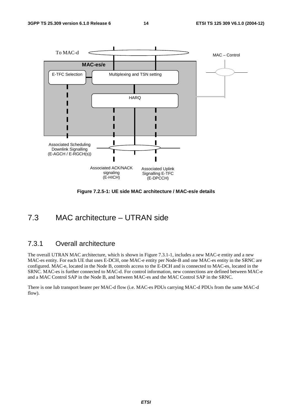

**Figure 7.2.5-1: UE side MAC architecture / MAC-es/e details** 

# 7.3 MAC architecture – UTRAN side

#### 7.3.1 Overall architecture

The overall UTRAN MAC architecture, which is shown in Figure 7.3.1-1, includes a new MAC-e entity and a new MAC-es entity. For each UE that uses E-DCH, one MAC-e entity per Node-B and one MAC-es entity in the SRNC are configured. MAC-e, located in the Node B, controls access to the E-DCH and is connected to MAC-es, located in the SRNC. MAC-es is further connected to MAC-d. For control information, new connections are defined between MAC-e and a MAC Control SAP in the Node B, and between MAC-es and the MAC Control SAP in the SRNC.

There is one Iub transport bearer per MAC-d flow (i.e. MAC-es PDUs carrying MAC-d PDUs from the same MAC-d flow).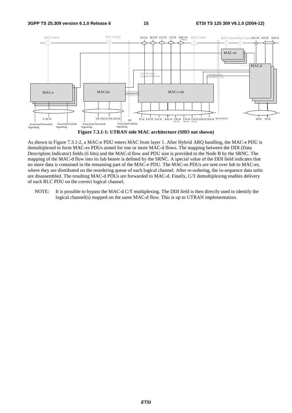

**Figure 7.3.1-1: UTRAN side MAC architecture (SHO not shown)**

As shown in Figure 7.3.1-2, a MAC-e PDU enters MAC from layer 1. After Hybrid ARQ handling, the MAC-e PDU is demultiplexed to form MAC-es PDUs aimed for one or more MAC-d flows. The mapping between the DDI (Data Description Indicator) fields (6 bits) and the MAC-d flow and PDU size is provided to the Node B by the SRNC. The mapping of the MAC-d flow into its Iub bearer is defined by the SRNC. A special value of the DDI field indicates that no more data is contained in the remaining part of the MAC-e PDU. The MAC-es PDUs are sent over Iub to MAC-es, where they are distributed on the reordering queue of each logical channel. After re-ordering, the in-sequence data units are disassembled. The resulting MAC-d PDUs are forwarded to MAC-d. Finally, C/T demultiplexing enables delivery of each RLC PDU on the correct logical channel.

NOTE: It is possible to bypass the MAC-d C/T multiplexing. The DDI field is then directly used to identify the logical channel(s) mapped on the same MAC-d flow. This is up to UTRAN implementation.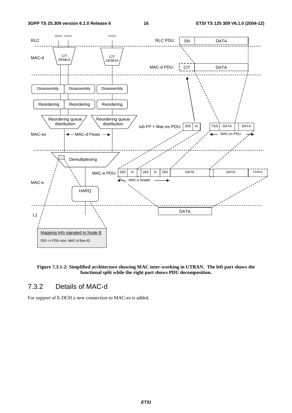

**Figure 7.3.1-2: Simplified architecture showing MAC inter-working in UTRAN. The left part shows the functional split while the right part shows PDU decomposition.** 

### 7.3.2 Details of MAC-d

For support of E-DCH a new connection to MAC-es is added.

**ETSI**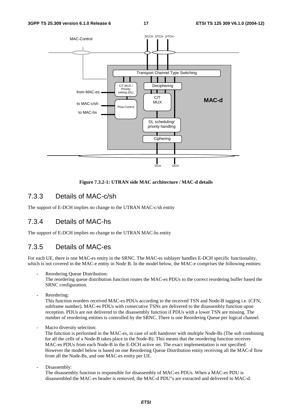

#### **Figure 7.3.2-1: UTRAN side MAC architecture / MAC-d details**

#### 7.3.3 Details of MAC-c/sh

The support of E-DCH implies no change to the UTRAN MAC-c/sh entity

### 7.3.4 Details of MAC-hs

The support of E-DCH implies no change to the UTRAN MAC-hs entity

### 7.3.5 Details of MAC-es

For each UE, there is one MAC-es entity in the SRNC. The MAC-es sublayer handles E-DCH specific functionality, which is not covered in the MAC-e entity in Node B. In the model below, the MAC-e comprises the following entities:

Reordering Queue Distribution:

The reordering queue distribution function routes the MAC-es PDUs to the correct reordering buffer based the SRNC configuration.

- Reordering:

This function reorders received MAC-es PDUs according to the received TSN and Node-B tagging i.e. (CFN, subframe number). MAC-es PDUs with consecutive TSNs are delivered to the disassembly function upon reception. PDUs are not delivered to the disassembly function if PDUs with a lower TSN are missing. The number of reordering entities is controlled by the SRNC. There is one Reordering Queue per logical channel.

Macro diversity selection:

The function is performed in the MAC-es, in case of soft handover with multiple Node-Bs (The soft combining for all the cells of a Node-B takes place in the Node-B). This means that the reordering function receives MAC-es PDUs from each Node-B in the E-DCH active set. The exact implementation is not specified. However the model below is based on one Reordering Queue Distribution entity receiving all the MAC-d flow from all the Node-Bs, and one MAC-es entity per UE.

Disassembly:

The disassembly function is responsible for disassembly of MAC-es PDUs. When a MAC-es PDU is disassembled the MAC-es header is removed, the MAC-d PDU"s are extracted and delivered to MAC-d.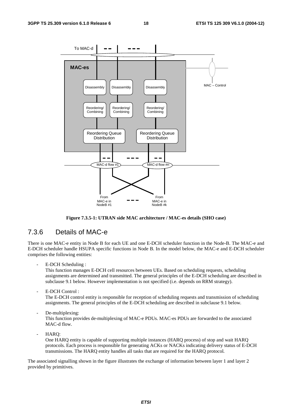

**Figure 7.3.5-1: UTRAN side MAC architecture / MAC-es details (SHO case)**

#### 7.3.6 Details of MAC-e

There is one MAC-e entity in Node B for each UE and one E-DCH scheduler function in the Node-B. The MAC-e and E-DCH scheduler handle HSUPA specific functions in Node B. In the model below, the MAC-e and E-DCH scheduler comprises the following entities:

E-DCH Scheduling :

This function manages E-DCH cell resources between UEs. Based on scheduling requests, scheduling assignments are determined and transmitted. The general principles of the E-DCH scheduling are described in subclause 9.1 below. However implementation is not specified (i.e. depends on RRM strategy).

E-DCH Control:

The E-DCH control entity is responsible for reception of scheduling requests and transmission of scheduling assignments. The general principles of the E-DCH scheduling are described in subclause 9.1 below.

De-multiplexing:

This function provides de-multiplexing of MAC-e PDUs. MAC-es PDUs are forwarded to the associated MAC-d flow.

- HARQ:

One HARQ entity is capable of supporting multiple instances (HARQ process) of stop and wait HARQ protocols. Each process is responsible for generating ACKs or NACKs indicating delivery status of E-DCH transmissions. The HARQ entity handles all tasks that are required for the HARQ protocol.

The associated signalling shown in the figure illustrates the exchange of information between layer 1 and layer 2 provided by primitives.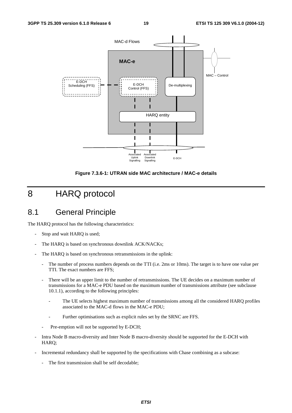

**Figure 7.3.6-1: UTRAN side MAC architecture / MAC-e details** 

# 8 HARQ protocol

# 8.1 General Principle

The HARQ protocol has the following characteristics:

- Stop and wait HARQ is used;
- The HARQ is based on synchronous downlink ACK/NACKs;
- The HARQ is based on synchronous retransmissions in the uplink:
	- The number of process numbers depends on the TTI (i.e. 2ms or 10ms). The target is to have one value per TTI. The exact numbers are FFS;
	- There will be an upper limit to the number of retransmissions. The UE decides on a maximum number of transmissions for a MAC-e PDU based on the maximum number of transmissions attribute (see subclause 10.1.1), according to the following principles:
		- The UE selects highest maximum number of transmissions among all the considered HARQ profiles associated to the MAC-d flows in the MAC-e PDU;
		- Further optimisations such as explicit rules set by the SRNC are FFS.
	- Pre-emption will not be supported by E-DCH;
- Intra Node B macro-diversity and Inter Node B macro-diversity should be supported for the E-DCH with HARQ;
- Incremental redundancy shall be supported by the specifications with Chase combining as a subcase:
	- The first transmission shall be self decodable;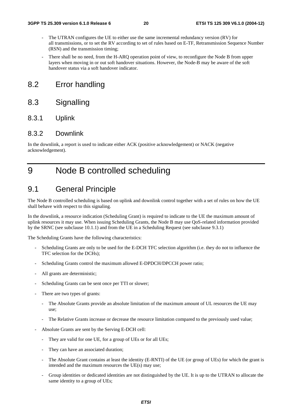- The UTRAN configures the UE to either use the same incremental redundancy version (RV) for all transmissions, or to set the RV according to set of rules based on E-TF, Retransmission Sequence Number (RSN) and the transmission timing;
- There shall be no need, from the H-ARQ operation point of view, to reconfigure the Node B from upper layers when moving in or out soft handover situations. However, the Node-B may be aware of the soft handover status via a soft handover indicator.

### 8.2 Error handling

8.3 Signalling

#### 8.3.1 Uplink

#### 8.3.2 Downlink

In the downlink, a report is used to indicate either ACK (positive acknowledgement) or NACK (negative acknowledgement).

# 9 Node B controlled scheduling

### 9.1 General Principle

The Node B controlled scheduling is based on uplink and downlink control together with a set of rules on how the UE shall behave with respect to this signaling.

In the downlink, a resource indication (Scheduling Grant) is required to indicate to the UE the maximum amount of uplink resources it may use. When issuing Scheduling Grants, the Node B may use QoS-related information provided by the SRNC (see subclause 10.1.1) and from the UE in a Scheduling Request (see subclause 9.3.1)

The Scheduling Grants have the following characteristics:

- Scheduling Grants are only to be used for the E-DCH TFC selection algorithm (i.e. they do not to influence the TFC selection for the DCHs);
- Scheduling Grants control the maximum allowed E-DPDCH/DPCCH power ratio;
- All grants are deterministic;
- Scheduling Grants can be sent once per TTI or slower;
- There are two types of grants:
	- The Absolute Grants provide an absolute limitation of the maximum amount of UL resources the UE may use;
	- The Relative Grants increase or decrease the resource limitation compared to the previously used value;
- Absolute Grants are sent by the Serving E-DCH cell:
	- They are valid for one UE, for a group of UEs or for all UEs;
	- They can have an associated duration;
	- The Absolute Grant contains at least the identity (E-RNTI) of the UE (or group of UEs) for which the grant is intended and the maximum resources the UE(s) may use;
	- Group identities or dedicated identities are not distinguished by the UE. It is up to the UTRAN to allocate the same identity to a group of UEs;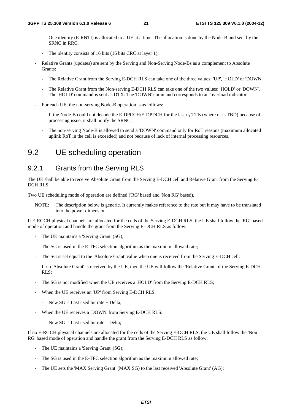- One identity (E-RNTI) is allocated to a UE at a time. The allocation is done by the Node-B and sent by the SRNC in RRC.
- The identity consists of 16 bits (16 bits CRC at layer 1);
- Relative Grants (updates) are sent by the Serving and Non-Serving Node-Bs as a complement to Absolute Grants:
	- The Relative Grant from the Serving E-DCH RLS can take one of the three values: 'UP', 'HOLD' or 'DOWN';
	- The Relative Grant from the Non-serving E-DCH RLS can take one of the two values: 'HOLD' or 'DOWN'. The 'HOLD' command is sent as DTX. The 'DOWN' command corresponds to an 'overload indicator';
- For each UE, the non-serving Node-B operation is as follows:
	- If the Node-B could not decode the E-DPCCH/E-DPDCH for the last  $n_1$  TTIs (where  $n_1$  is TBD) because of processing issue, it shall notify the SRNC;
	- The non-serving Node-B is allowed to send a 'DOWN' command only for RoT reasons (maximum allocated uplink RoT in the cell is exceeded) and not because of lack of internal processing resources.

### 9.2 UE scheduling operation

#### 9.2.1 Grants from the Serving RLS

The UE shall be able to receive Absolute Grant from the Serving E-DCH cell and Relative Grant from the Serving E-DCH RLS.

Two UE scheduling mode of operation are defined ('RG' based and 'Non RG' based).

NOTE: The description below is generic. It currently makes reference to the rate but it may have to be translated into the power dimension.

If E-RGCH physical channels are allocated for the cells of the Serving E-DCH RLS, the UE shall follow the 'RG' based mode of operation and handle the grant from the Serving E-DCH RLS as follow:

- The UE maintains a 'Serving Grant' (SG);
- The SG is used in the E-TFC selection algorithm as the maximum allowed rate;
- The SG is set equal to the 'Absolute Grant' value when one is received from the Serving E-DCH cell:
- If no 'Absolute Grant' is received by the UE, then the UE will follow the 'Relative Grant' of the Serving E-DCH RLS:
- The SG is not modified when the UE receives a 'HOLD' from the Serving E-DCH RLS;
- When the UE receives an 'UP' from Serving E-DCH RLS:
	- New  $SG = Last$  used bit rate + Delta;
- When the UE receives a 'DOWN' from Serving E-DCH RLS:
	- New  $SG = Last$  used bit rate Delta;

If no E-RGCH physical channels are allocated for the cells of the Serving E-DCH RLS, the UE shall follow the 'Non RG' based mode of operation and handle the grant from the Serving E-DCH RLS as follow:

- The UE maintains a 'Serving Grant' (SG);
- The SG is used in the E-TFC selection algorithm as the maximum allowed rate;
- The UE sets the 'MAX Serving Grant' (MAX SG) to the last received 'Absolute Grant' (AG);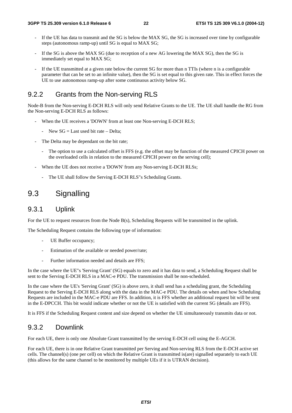- If the UE has data to transmit and the SG is below the MAX SG, the SG is increased over time by configurable steps (autonomous ramp-up) until SG is equal to MAX SG;
- If the SG is above the MAX SG (due to reception of a new AG lowering the MAX SG), then the SG is immediately set equal to MAX SG;
- If the UE transmitted at a given rate below the current SG for more than n TTIs (where n is a configurable parameter that can be set to an infinite value), then the SG is set equal to this given rate. This in effect forces the UE to use autonomous ramp-up after some continuous activity below SG.

#### 9.2.2 Grants from the Non-serving RLS

Node-B from the Non-serving E-DCH RLS will only send Relative Grants to the UE. The UE shall handle the RG from the Non-serving E-DCH RLS as follows:

- When the UE receives a 'DOWN' from at least one Non-serving E-DCH RLS;
	- New  $SG = Last$  used bit rate Delta:
- The Delta may be dependant on the bit rate;
	- The option to use a calculated offset is FFS (e.g. the offset may be function of the measured CPICH power on the overloaded cells in relation to the measured CPICH power on the serving cell);
- When the UE does not receive a 'DOWN' from any Non-serving E-DCH RLSs;
	- The UE shall follow the Serving E-DCH RLS"s Scheduling Grants.

# 9.3 Signalling

#### 9.3.1 Uplink

For the UE to request resources from the Node B(s), Scheduling Requests will be transmitted in the uplink.

The Scheduling Request contains the following type of information:

- UE Buffer occupancy;
- Estimation of the available or needed power/rate;
- Further information needed and details are FFS;

In the case where the UE"s 'Serving Grant' (SG) equals to zero and it has data to send, a Scheduling Request shall be sent to the Serving E-DCH RLS in a MAC-e PDU. The transmission shall be non-scheduled.

In the case where the UE's 'Serving Grant' (SG) is above zero, it shall send has a scheduling grant, the Scheduling Request to the Serving E-DCH RLS along with the data in the MAC-e PDU. The details on when and how Scheduling Requests are included in the MAC-e PDU are FFS. In addition, it is FFS whether an additional request bit will be sent in the E-DPCCH. This bit would indicate whether or not the UE is satisfied with the current SG (details are FFS).

It is FFS if the Scheduling Request content and size depend on whether the UE simultaneously transmits data or not.

#### 9.3.2 Downlink

For each UE, there is only one Absolute Grant transmitted by the serving E-DCH cell using the E-AGCH.

For each UE, there is in one Relative Grant transmitted per Serving and Non-serving RLS from the E-DCH active set cells. The channel(s) (one per cell) on which the Relative Grant is transmitted is(are) signalled separately to each UE (this allows for the same channel to be monitored by multiple UEs if it is UTRAN decision).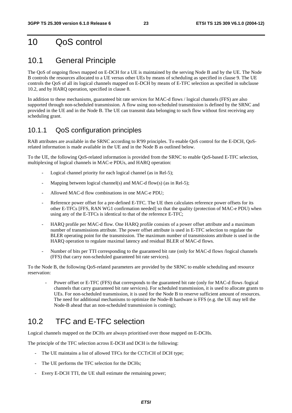# 10 QoS control

# 10.1 General Principle

The QoS of ongoing flows mapped on E-DCH for a UE is maintained by the serving Node B and by the UE. The Node B controls the resources allocated to a UE versus other UEs by means of scheduling as specified in clause 9. The UE controls the QoS of all its logical channels mapped on E-DCH by means of E-TFC selection as specified in subclause 10.2, and by HARQ operation, specified in clause 8.

In addition to these mechanisms, guaranteed bit rate services for MAC-d flows / logical channels (FFS) are also supported through non-scheduled transmission. A flow using non-scheduled transmission is defined by the SRNC and provided in the UE and in the Node B. The UE can transmit data belonging to such flow without first receiving any scheduling grant.

### 10.1.1 QoS configuration principles

RAB attributes are available in the SRNC according to R'99 principles. To enable QoS control for the E-DCH, QoSrelated information is made available in the UE and in the Node B as outlined below.

To the UE, the following QoS-related information is provided from the SRNC to enable QoS-based E-TFC selection, multiplexing of logical channels in MAC-e PDUs, and HARQ operation:

- Logical channel priority for each logical channel (as in Rel-5);
- Mapping between logical channel(s) and MAC-d flow(s) (as in Rel-5);
- Allowed MAC-d flow combinations in one MAC-e PDU;
- Reference power offset for a pre-defined E-TFC. The UE then calculates reference power offsets for its other E-TFCs [FFS, RAN WG1 confirmation needed] so that the quality (protection of MAC-e PDU) when using any of the E-TFCs is identical to that of the reference E-TFC;
- HARQ profile per MAC-d flow. One HARQ profile consists of a power offset attribute and a maximum number of transmissions attribute. The power offset attribute is used in E-TFC selection to regulate the BLER operating point for the transmission. The maximum number of transmissions attribute is used in the HARQ operation to regulate maximal latency and residual BLER of MAC-d flows.
- Number of bits per TTI corresponding to the guaranteed bit rate (only for MAC-d flows /logical channels (FFS) that carry non-scheduled guaranteed bit rate services).

To the Node B, the following QoS-related parameters are provided by the SRNC to enable scheduling and resource reservation:

Power offset or E-TFC (FFS) that corresponds to the guaranteed bit rate (only for MAC-d flows /logical channels that carry guaranteed bit rate services). For scheduled transmission, it is used to allocate grants to UEs. For non-scheduled transmission, it is used for the Node B to reserve sufficient amount of resources. The need for additional mechanisms to optimize the Node-B hardware is FFS (e.g. the UE may tell the Node-B ahead that an non-scheduled transmission is coming);

# 10.2 TFC and E-TFC selection

Logical channels mapped on the DCHs are always prioritised over those mapped on E-DCHs.

The principle of the TFC selection across E-DCH and DCH is the following:

- The UE maintains a list of allowed TFCs for the CCTrCH of DCH type;
- The UE performs the TFC selection for the DCHs;
- Every E-DCH TTI, the UE shall estimate the remaining power;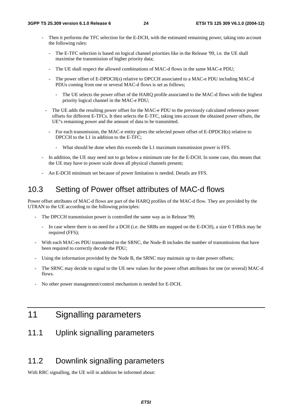- Then it performs the TFC selection for the E-DCH, with the estimated remaining power, taking into account the following rules:
	- The E-TFC selection is based on logical channel priorities like in the Release '99, i.e. the UE shall maximise the transmission of higher priority data;
	- The UE shall respect the allowed combinations of MAC-d flows in the same MAC-e PDU;
	- The power offset of E-DPDCH(s) relative to DPCCH associated to a MAC-e PDU including MAC-d PDUs coming from one or several MAC-d flows is set as follows;
		- The UE selects the power offset of the HARQ profile associated to the MAC-d flows with the highest priority logical channel in the MAC-e PDU;
	- The UE adds the resulting power offset for the MAC-e PDU to the previously calculated reference power offsets for different E-TFCs. It then selects the E-TFC, taking into account the obtained power offsets, the UE"s remaining power and the amount of data to be transmitted.
		- For each transmission, the MAC-e entity gives the selected power offset of E-DPDCH(s) relative to DPCCH to the L1 in addition to the E-TFC;
			- What should be done when this exceeds the L1 maximum transmission power is FFS.
- In addition, the UE may need not to go below a minimum rate for the E-DCH. In some case, this means that the UE may have to power scale down all physical channels present;
- An E-DCH minimum set because of power limitation is needed. Details are FFS.

# 10.3 Setting of Power offset attributes of MAC-d flows

Power offset attributes of MAC-d flows are part of the HARQ profiles of the MAC-d flow. They are provided by the UTRAN to the UE according to the following principles:

- The DPCCH transmission power is controlled the same way as in Release '99;
	- In case where there is no need for a DCH (i.e. the SRBs are mapped on the E-DCH), a size 0 TrBlck may be required (FFS);
- With each MAC-es PDU transmitted to the SRNC, the Node-B includes the number of transmissions that have been required to correctly decode the PDU;
- Using the information provided by the Node B, the SRNC may maintain up to date power offsets;
- The SRNC may decide to signal to the UE new values for the power offset attributes for one (or several) MAC-d flows.
- No other power management/control mechanism is needed for E-DCH.

# 11 Signalling parameters

# 11.1 Uplink signalling parameters

# 11.2 Downlink signalling parameters

With RRC signalling, the UE will in addition be informed about: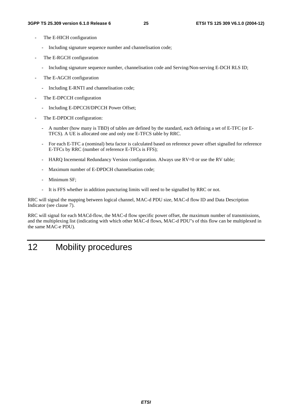- The E-HICH configuration
	- Including signature sequence number and channelisation code;
- The E-RGCH configuration
	- Including signature sequence number, channelisation code and Serving/Non-serving E-DCH RLS ID;
- The E-AGCH configuration
	- Including E-RNTI and channelisation code;
- The E-DPCCH configuration
	- Including E-DPCCH/DPCCH Power Offset;
- The E-DPDCH configuration:
	- A number (how many is TBD) of tables are defined by the standard, each defining a set of E-TFC (or E-TFCS). A UE is allocated one and only one E-TFCS table by RRC.
	- For each E-TFC a (nominal) beta factor is calculated based on reference power offset signalled for reference E-TFCs by RRC (number of reference E-TFCs is FFS);
	- HARO Incemental Redundancy Version configuration. Always use  $RV=0$  or use the RV table;
	- Maximum number of E-DPDCH channelisation code:
	- Minimum SF;
	- It is FFS whether in addition puncturing limits will need to be signalled by RRC or not.

RRC will signal the mapping between logical channel, MAC-d PDU size, MAC-d flow ID and Data Description Indicator (see clause 7).

RRC will signal for each MACd-flow, the MAC-d flow specific power offset, the maximum number of transmissions, and the multiplexing list (indicating with which other MAC-d flows, MAC-d PDU"s of this flow can be multiplexed in the same MAC-e PDU).

# 12 Mobility procedures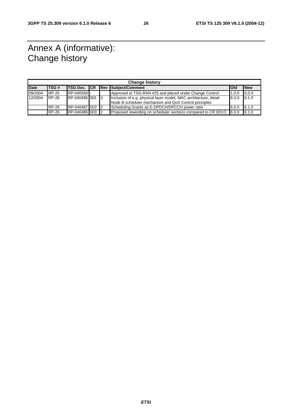# Annex A (informative): Change history

| <b>Change history</b> |              |                     |  |  |                                                                  |       |             |
|-----------------------|--------------|---------------------|--|--|------------------------------------------------------------------|-------|-------------|
| <b>Date</b>           | TSG#         | <b>TSG Doc. ICR</b> |  |  | <b>Rev Subject/Comment</b>                                       | lOld  | <b>INew</b> |
| 09/2004               | <b>RP-25</b> | RP-040358           |  |  | Approved at TSG-RAN #25 and placed under Change Control.         | 1.0.0 | 6.0.0       |
| 12/2004               | <b>RP-26</b> | RP-040486 001 3     |  |  | Inclusion of e.g. physical layer model, MAC architecture, detail | 6.0.0 | 6.1.0       |
|                       |              |                     |  |  | Node B scheduler mechanism and QoS Control principles            |       |             |
|                       | RP-26        | RP-040487100212     |  |  | Scheduling Grants as E-DPDCH/DPCCH power ratio                   | 6.0.0 | 6.1.0       |
|                       | <b>RP-26</b> | RP-040486 003       |  |  | Proposed rewording on scheduler sections compared to CR 001r3    | 6.0.0 | 6.1.0       |